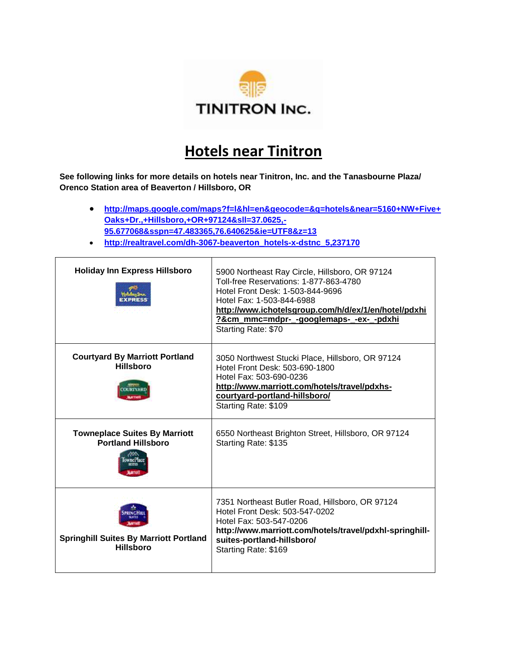

## **Hotels near Tinitron**

**See following links for more details on hotels near Tinitron, Inc. and the Tanasbourne Plaza/ Orenco Station area of Beaverton / Hillsboro, OR**

- **[http://maps.google.com/maps?f=l&hl=en&geocode=&q=hotels&near=5160+NW+Five+](http://maps.google.com/maps?f=l&hl=en&geocode=&q=hotels&near=5160+NW+Five+Oaks+Dr.,+Hillsboro,+OR+97124&sll=37.0625,-95.677068&sspn=47.483365,76.640625&ie=UTF8&z=13) [Oaks+Dr.,+Hillsboro,+OR+97124&sll=37.0625,-](http://maps.google.com/maps?f=l&hl=en&geocode=&q=hotels&near=5160+NW+Five+Oaks+Dr.,+Hillsboro,+OR+97124&sll=37.0625,-95.677068&sspn=47.483365,76.640625&ie=UTF8&z=13) [95.677068&sspn=47.483365,76.640625&ie=UTF8&z=13](http://maps.google.com/maps?f=l&hl=en&geocode=&q=hotels&near=5160+NW+Five+Oaks+Dr.,+Hillsboro,+OR+97124&sll=37.0625,-95.677068&sspn=47.483365,76.640625&ie=UTF8&z=13)**
- **[http://realtravel.com/dh-3067-beaverton\\_hotels-x-dstnc\\_5,237170](http://realtravel.com/dh-3067-beaverton_hotels-x-dstnc_5,237170)**

| <b>Holiday Inn Express Hillsboro</b>                              | 5900 Northeast Ray Circle, Hillsboro, OR 97124<br>Toll-free Reservations: 1-877-863-4780<br>Hotel Front Desk: 1-503-844-9696<br>Hotel Fax: 1-503-844-6988<br>http://www.ichotelsgroup.com/h/d/ex/1/en/hotel/pdxhi<br>?&cm mmc=mdpr- -googlemaps- -ex- -pdxhi<br>Starting Rate: \$70 |
|-------------------------------------------------------------------|-------------------------------------------------------------------------------------------------------------------------------------------------------------------------------------------------------------------------------------------------------------------------------------|
| <b>Courtyard By Marriott Portland</b><br><b>Hillsboro</b>         | 3050 Northwest Stucki Place, Hillsboro, OR 97124<br>Hotel Front Desk: 503-690-1800<br>Hotel Fax: 503-690-0236<br>http://www.marriott.com/hotels/travel/pdxhs-<br>courtyard-portland-hillsboro/<br>Starting Rate: \$109                                                              |
| <b>Towneplace Suites By Marriott</b><br><b>Portland Hillsboro</b> | 6550 Northeast Brighton Street, Hillsboro, OR 97124<br>Starting Rate: \$135                                                                                                                                                                                                         |
| <b>Springhill Suites By Marriott Portland</b><br><b>Hillsboro</b> | 7351 Northeast Butler Road, Hillsboro, OR 97124<br>Hotel Front Desk: 503-547-0202<br>Hotel Fax: 503-547-0206<br>http://www.marriott.com/hotels/travel/pdxhl-springhill-<br>suites-portland-hillsboro/<br>Starting Rate: \$169                                                       |